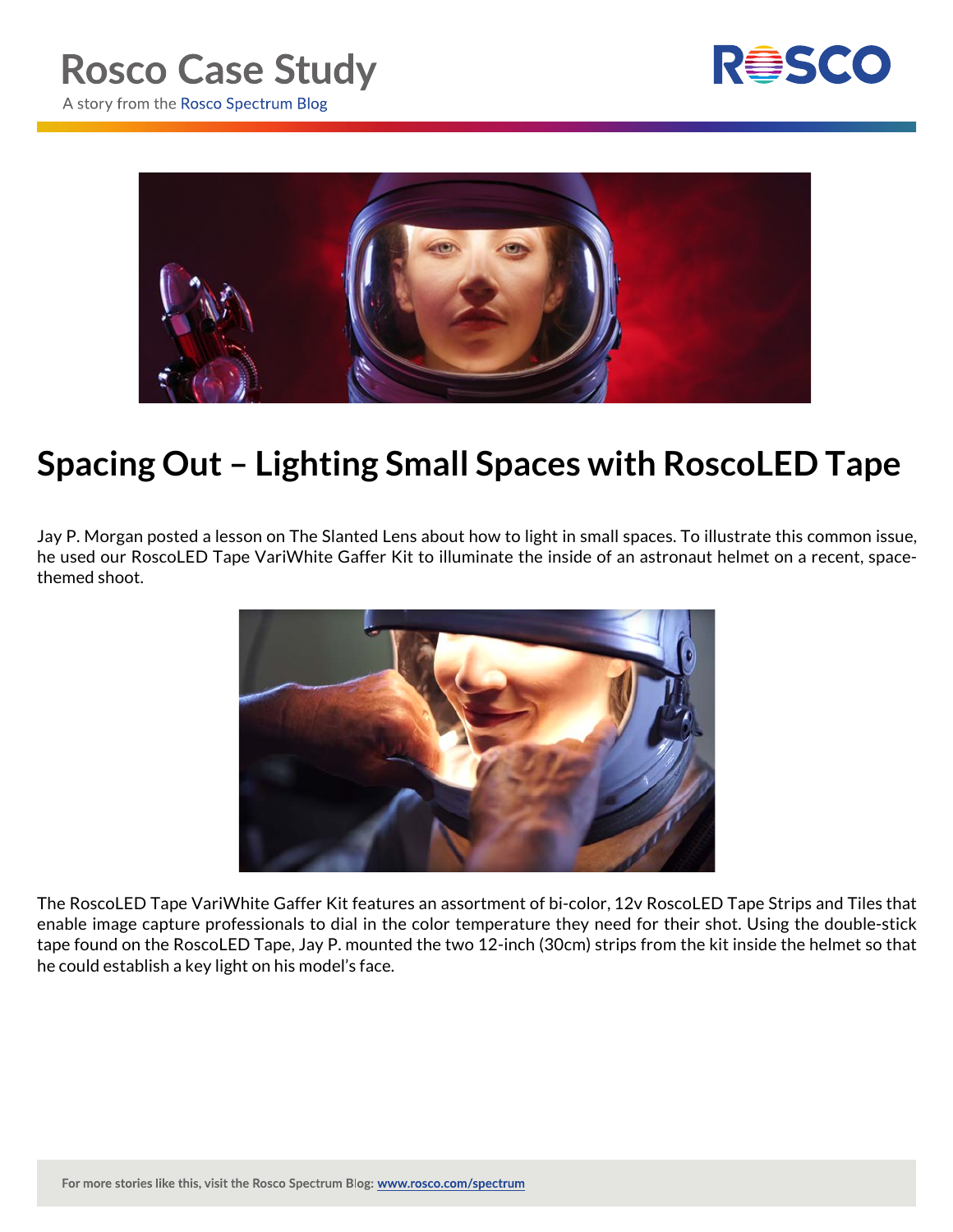



## **Spacing Out – Lighting Small Spaces with RoscoLED Tape**

Jay P. Morgan posted a lesson on The Slanted Lens about how to light in small spaces. To illustrate this common issue, he used our RoscoLED Tape VariWhite Gaffer Kit to illuminate the inside of an astronaut helmet on a recent, spacethemed shoot.



The RoscoLED Tape VariWhite Gaffer Kit features an assortment of bi-color, 12v RoscoLED Tape Strips and Tiles that enable image capture professionals to dial in the color temperature they need for their shot. Using the double-stick tape found on the RoscoLED Tape, Jay P. mounted the two 12-inch (30cm) strips from the kit inside the helmet so that he could establish a key light on his model's face.